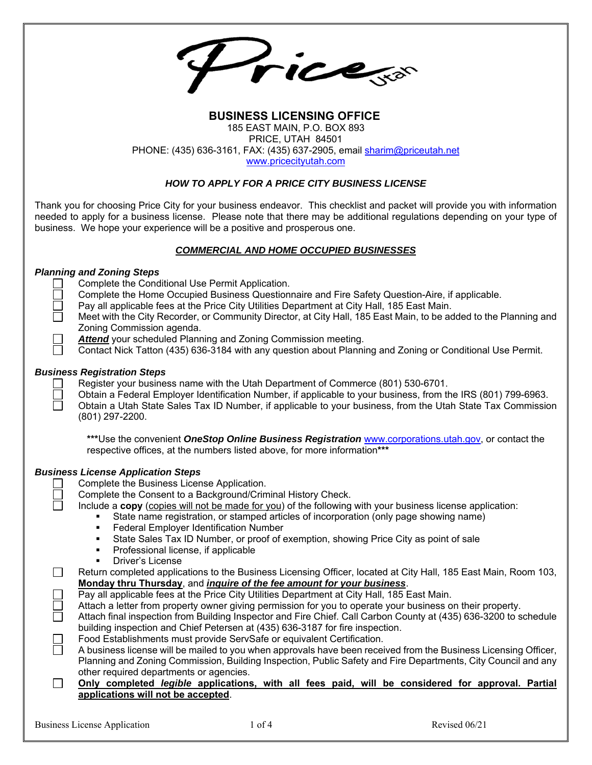Pricess

## **BUSINESS LICENSING OFFICE**  185 EAST MAIN, P.O. BOX 893 PRICE, UTAH 84501 PHONE: (435) 636-3161, FAX: (435) 637-2905, email sharim@priceutah.net www.pricecityutah.com

## *HOW TO APPLY FOR A PRICE CITY BUSINESS LICENSE*

Thank you for choosing Price City for your business endeavor. This checklist and packet will provide you with information needed to apply for a business license. Please note that there may be additional regulations depending on your type of business. We hope your experience will be a positive and prosperous one.

#### *COMMERCIAL AND HOME OCCUPIED BUSINESSES*

## *Planning and Zoning Steps*

|        | Planning and Zoning Steps                                                                                        |
|--------|------------------------------------------------------------------------------------------------------------------|
|        | Complete the Conditional Use Permit Application.                                                                 |
|        | Complete the Home Occupied Business Questionnaire and Fire Safety Question-Aire, if applicable.                  |
|        | Pay all applicable fees at the Price City Utilities Department at City Hall, 185 East Main.                      |
|        | Meet with the City Recorder, or Community Director, at City Hall, 185 East Main, to be added to the Planning and |
|        | Zoning Commission agenda.                                                                                        |
|        | <b>Attend</b> your scheduled Planning and Zoning Commission meeting.                                             |
|        | Contact Nick Tatton (435) 636-3184 with any question about Planning and Zoning or Conditional Use Permit.        |
|        |                                                                                                                  |
|        | <b>Business Registration Steps</b>                                                                               |
|        | Register your business name with the Utah Department of Commerce (801) 530-6701.                                 |
|        | Obtain a Federal Employer Identification Number, if applicable to your business, from the IRS (801) 799-6963.    |
|        | Obtain a Utah State Sales Tax ID Number, if applicable to your business, from the Utah State Tax Commission      |
|        | $(801)$ 297-2200.                                                                                                |
|        |                                                                                                                  |
|        | ***Use the convenient OneStop Online Business Registration www.corporations.utah.gov, or contact the             |
|        | respective offices, at the numbers listed above, for more information***                                         |
|        |                                                                                                                  |
|        | <b>Business License Application Steps</b>                                                                        |
|        | Complete the Business License Application.                                                                       |
|        | Complete the Consent to a Background/Criminal History Check.                                                     |
|        | Include a copy (copies will not be made for you) of the following with your business license application:        |
|        | State name registration, or stamped articles of incorporation (only page showing name)                           |
|        | Federal Employer Identification Number<br>٠                                                                      |
|        | State Sales Tax ID Number, or proof of exemption, showing Price City as point of sale<br>٠                       |
|        |                                                                                                                  |
|        | Professional license, if applicable<br>٠                                                                         |
|        | Driver's License<br>$\blacksquare$                                                                               |
| П      | Return completed applications to the Business Licensing Officer, located at City Hall, 185 East Main, Room 103,  |
|        | Monday thru Thursday, and <i>inquire of the fee amount for your business</i> .                                   |
|        | Pay all applicable fees at the Price City Utilities Department at City Hall, 185 East Main.                      |
|        | Attach a letter from property owner giving permission for you to operate your business on their property.        |
| П      | Attach final inspection from Building Inspector and Fire Chief. Call Carbon County at (435) 636-3200 to schedule |
|        | building inspection and Chief Petersen at (435) 636-3187 for fire inspection.                                    |
|        | Food Establishments must provide ServSafe or equivalent Certification.                                           |
| n      | A business license will be mailed to you when approvals have been received from the Business Licensing Officer,  |
|        | Planning and Zoning Commission, Building Inspection, Public Safety and Fire Departments, City Council and any    |
|        | other required departments or agencies.                                                                          |
| $\Box$ | Only completed legible applications, with all fees paid, will be considered for approval. Partial                |
|        | applications will not be accepted.                                                                               |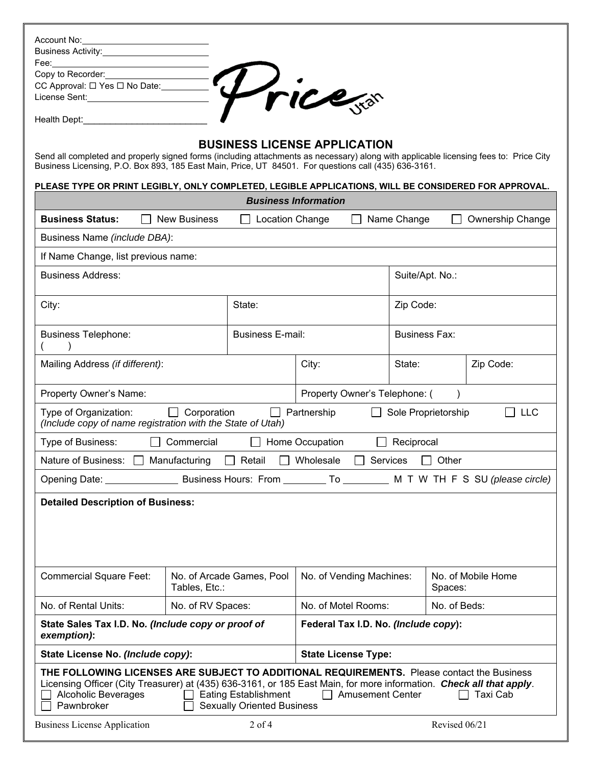| Business Activity: <u>________________________</u>                                                                                                                                                                                                                                                                                                           |                                      |                            |                          |           |                      |               |                         |  |  |
|--------------------------------------------------------------------------------------------------------------------------------------------------------------------------------------------------------------------------------------------------------------------------------------------------------------------------------------------------------------|--------------------------------------|----------------------------|--------------------------|-----------|----------------------|---------------|-------------------------|--|--|
|                                                                                                                                                                                                                                                                                                                                                              |                                      |                            |                          |           |                      |               |                         |  |  |
|                                                                                                                                                                                                                                                                                                                                                              |                                      |                            |                          |           |                      |               |                         |  |  |
| Fee:<br>CC Approval: $\Box$ Yes $\Box$ No Date:<br>License Sent:                                                                                                                                                                                                                                                                                             |                                      |                            |                          |           |                      |               |                         |  |  |
| Health Dept:_________________                                                                                                                                                                                                                                                                                                                                |                                      |                            |                          |           |                      |               |                         |  |  |
|                                                                                                                                                                                                                                                                                                                                                              |                                      |                            |                          |           |                      |               |                         |  |  |
| <b>BUSINESS LICENSE APPLICATION</b><br>Send all completed and properly signed forms (including attachments as necessary) along with applicable licensing fees to: Price City<br>Business Licensing, P.O. Box 893, 185 East Main, Price, UT 84501. For questions call (435) 636-3161.                                                                         |                                      |                            |                          |           |                      |               |                         |  |  |
| PLEASE TYPE OR PRINT LEGIBLY, ONLY COMPLETED, LEGIBLE APPLICATIONS, WILL BE CONSIDERED FOR APPROVAL.<br><b>Business Information</b>                                                                                                                                                                                                                          |                                      |                            |                          |           |                      |               |                         |  |  |
| <b>Business Status:</b>                                                                                                                                                                                                                                                                                                                                      | <b>New Business</b>                  | Location Change            |                          |           | Name Change          |               | <b>Ownership Change</b> |  |  |
| Business Name (include DBA):                                                                                                                                                                                                                                                                                                                                 |                                      |                            |                          |           |                      |               |                         |  |  |
| If Name Change, list previous name:                                                                                                                                                                                                                                                                                                                          |                                      |                            |                          |           |                      |               |                         |  |  |
| <b>Business Address:</b>                                                                                                                                                                                                                                                                                                                                     |                                      |                            | Suite/Apt. No.:          |           |                      |               |                         |  |  |
| City:                                                                                                                                                                                                                                                                                                                                                        |                                      |                            |                          | Zip Code: |                      |               |                         |  |  |
| <b>Business E-mail:</b><br><b>Business Telephone:</b>                                                                                                                                                                                                                                                                                                        |                                      |                            |                          |           | <b>Business Fax:</b> |               |                         |  |  |
| Mailing Address (if different):                                                                                                                                                                                                                                                                                                                              |                                      |                            | City:                    |           | State:               |               | Zip Code:               |  |  |
| Property Owner's Name:                                                                                                                                                                                                                                                                                                                                       | Property Owner's Telephone: (        |                            |                          |           |                      |               |                         |  |  |
| $\Box$ Corporation<br>Type of Organization:<br>$\Box$ Partnership<br>Sole Proprietorship<br><b>LLC</b><br>(Include copy of name registration with the State of Utah)                                                                                                                                                                                         |                                      |                            |                          |           |                      |               |                         |  |  |
| Type of Business:<br>Commercial<br>Home Occupation<br>Reciprocal                                                                                                                                                                                                                                                                                             |                                      |                            |                          |           |                      |               |                         |  |  |
| Nature of Business:                                                                                                                                                                                                                                                                                                                                          | Manufacturing                        | Retail                     | Wholesale                | Services  |                      | Other         |                         |  |  |
|                                                                                                                                                                                                                                                                                                                                                              |                                      |                            |                          |           |                      |               |                         |  |  |
| <b>Detailed Description of Business:</b>                                                                                                                                                                                                                                                                                                                     |                                      |                            |                          |           |                      |               |                         |  |  |
| <b>Commercial Square Feet:</b>                                                                                                                                                                                                                                                                                                                               | Tables, Etc.:                        | No. of Arcade Games, Pool  | No. of Vending Machines: |           | Spaces:              |               | No. of Mobile Home      |  |  |
| No. of Rental Units:                                                                                                                                                                                                                                                                                                                                         | No. of RV Spaces:                    |                            | No. of Motel Rooms:      |           | No. of Beds:         |               |                         |  |  |
| State Sales Tax I.D. No. (Include copy or proof of<br>exemption):                                                                                                                                                                                                                                                                                            | Federal Tax I.D. No. (Include copy): |                            |                          |           |                      |               |                         |  |  |
| State License No. (Include copy):                                                                                                                                                                                                                                                                                                                            |                                      | <b>State License Type:</b> |                          |           |                      |               |                         |  |  |
| THE FOLLOWING LICENSES ARE SUBJECT TO ADDITIONAL REQUIREMENTS. Please contact the Business<br>Licensing Officer (City Treasurer) at (435) 636-3161, or 185 East Main, for more information. Check all that apply.<br><b>Eating Establishment</b><br>□ Amusement Center<br>Alcoholic Beverages<br>Taxi Cab<br>Pawnbroker<br><b>Sexually Oriented Business</b> |                                      |                            |                          |           |                      |               |                         |  |  |
| <b>Business License Application</b>                                                                                                                                                                                                                                                                                                                          |                                      | $2$ of 4                   |                          |           |                      | Revised 06/21 |                         |  |  |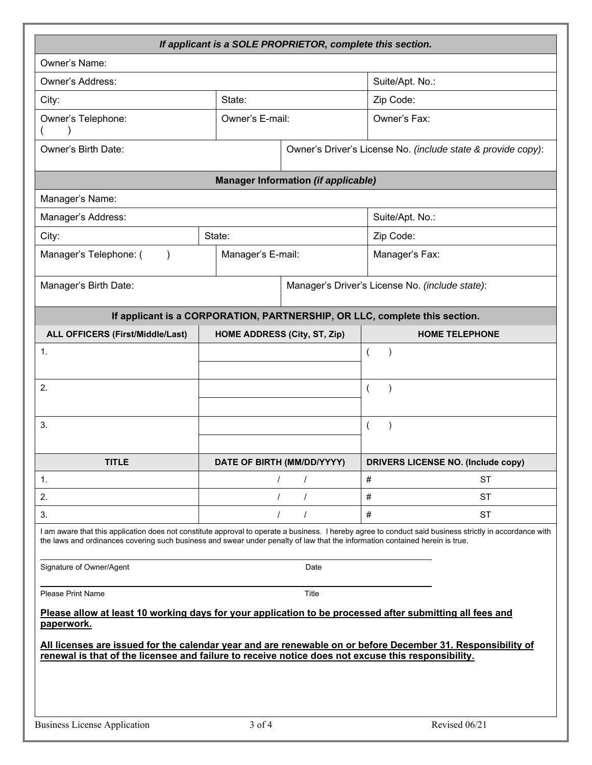| If applicant is a SOLE PROPRIETOR, complete this section.                                                                                                                                                                                                                                |                                                 |          |                                                                            |  |  |  |  |  |  |
|------------------------------------------------------------------------------------------------------------------------------------------------------------------------------------------------------------------------------------------------------------------------------------------|-------------------------------------------------|----------|----------------------------------------------------------------------------|--|--|--|--|--|--|
| Owner's Name:                                                                                                                                                                                                                                                                            |                                                 |          |                                                                            |  |  |  |  |  |  |
| Owner's Address:                                                                                                                                                                                                                                                                         |                                                 |          | Suite/Apt. No.:                                                            |  |  |  |  |  |  |
| City:                                                                                                                                                                                                                                                                                    | State:                                          |          | Zip Code:                                                                  |  |  |  |  |  |  |
| Owner's Telephone:<br>Owner's E-mail:                                                                                                                                                                                                                                                    |                                                 |          | Owner's Fax:                                                               |  |  |  |  |  |  |
| Owner's Birth Date:                                                                                                                                                                                                                                                                      |                                                 |          | Owner's Driver's License No. (include state & provide copy):               |  |  |  |  |  |  |
| <b>Manager Information (if applicable)</b>                                                                                                                                                                                                                                               |                                                 |          |                                                                            |  |  |  |  |  |  |
| Manager's Name:                                                                                                                                                                                                                                                                          |                                                 |          |                                                                            |  |  |  |  |  |  |
| Manager's Address:                                                                                                                                                                                                                                                                       |                                                 |          | Suite/Apt. No.:                                                            |  |  |  |  |  |  |
| City:                                                                                                                                                                                                                                                                                    | State:                                          |          | Zip Code:                                                                  |  |  |  |  |  |  |
| Manager's Telephone: (                                                                                                                                                                                                                                                                   | Manager's E-mail:                               |          | Manager's Fax:                                                             |  |  |  |  |  |  |
| Manager's Birth Date:                                                                                                                                                                                                                                                                    | Manager's Driver's License No. (include state): |          |                                                                            |  |  |  |  |  |  |
|                                                                                                                                                                                                                                                                                          |                                                 |          | If applicant is a CORPORATION, PARTNERSHIP, OR LLC, complete this section. |  |  |  |  |  |  |
| ALL OFFICERS (First/Middle/Last)                                                                                                                                                                                                                                                         | HOME ADDRESS (City, ST, Zip)                    |          | <b>HOME TELEPHONE</b>                                                      |  |  |  |  |  |  |
| 1.                                                                                                                                                                                                                                                                                       |                                                 |          | $\overline{(}$                                                             |  |  |  |  |  |  |
| 2.                                                                                                                                                                                                                                                                                       |                                                 |          | $\overline{ }$                                                             |  |  |  |  |  |  |
|                                                                                                                                                                                                                                                                                          |                                                 |          |                                                                            |  |  |  |  |  |  |
| 3.                                                                                                                                                                                                                                                                                       |                                                 |          | $\overline{ }$                                                             |  |  |  |  |  |  |
| <b>TITLE</b>                                                                                                                                                                                                                                                                             | DATE OF BIRTH (MM/DD/YYYY)                      |          | <b>DRIVERS LICENSE NO. (Include copy)</b>                                  |  |  |  |  |  |  |
| 1.                                                                                                                                                                                                                                                                                       |                                                 | $\prime$ | #<br><b>ST</b>                                                             |  |  |  |  |  |  |
| 2.                                                                                                                                                                                                                                                                                       | $\prime$                                        |          | #<br><b>ST</b>                                                             |  |  |  |  |  |  |
| 3.                                                                                                                                                                                                                                                                                       | $\prime$                                        | $\prime$ | #<br><b>ST</b>                                                             |  |  |  |  |  |  |
| I am aware that this application does not constitute approval to operate a business. I hereby agree to conduct said business strictly in accordance with<br>the laws and ordinances covering such business and swear under penalty of law that the information contained herein is true. |                                                 |          |                                                                            |  |  |  |  |  |  |
| Signature of Owner/Agent<br>Date                                                                                                                                                                                                                                                         |                                                 |          |                                                                            |  |  |  |  |  |  |
| <b>Please Print Name</b><br>Title<br>Please allow at least 10 working days for your application to be processed after submitting all fees and                                                                                                                                            |                                                 |          |                                                                            |  |  |  |  |  |  |
| paperwork.                                                                                                                                                                                                                                                                               |                                                 |          |                                                                            |  |  |  |  |  |  |
| All licenses are issued for the calendar year and are renewable on or before December 31. Responsibility of<br>renewal is that of the licensee and failure to receive notice does not excuse this responsibility.                                                                        |                                                 |          |                                                                            |  |  |  |  |  |  |
|                                                                                                                                                                                                                                                                                          |                                                 |          |                                                                            |  |  |  |  |  |  |
| <b>Business License Application</b>                                                                                                                                                                                                                                                      | $3$ of $4$                                      |          | Revised 06/21                                                              |  |  |  |  |  |  |